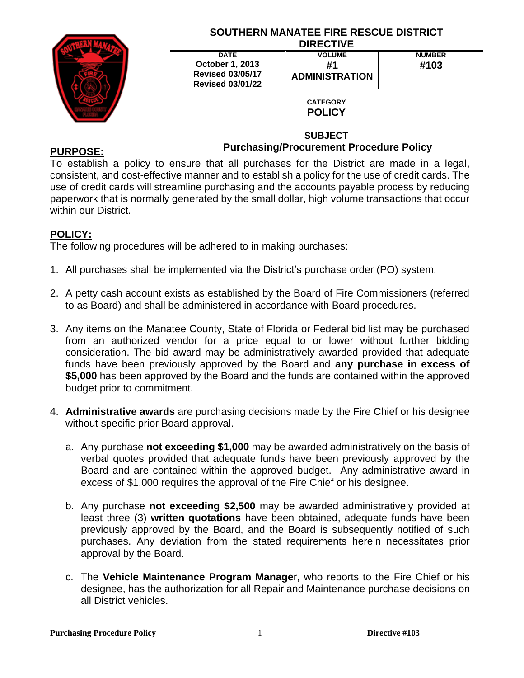|                 | <b>SOUTHERN MANATEE FIRE RESCUE DISTRICT</b><br><b>DIRECTIVE</b>                     |                                              |                       |
|-----------------|--------------------------------------------------------------------------------------|----------------------------------------------|-----------------------|
|                 | <b>DATE</b><br>October 1, 2013<br><b>Revised 03/05/17</b><br><b>Revised 03/01/22</b> | <b>VOLUME</b><br>#1<br><b>ADMINISTRATION</b> | <b>NUMBER</b><br>#103 |
|                 | <b>CATEGORY</b><br><b>POLICY</b>                                                     |                                              |                       |
| <b>PURPOSE:</b> | <b>SUBJECT</b><br><b>Purchasing/Procurement Procedure Policy</b>                     |                                              |                       |

To establish a policy to ensure that all purchases for the District are made in a legal, consistent, and cost-effective manner and to establish a policy for the use of credit cards. The use of credit cards will streamline purchasing and the accounts payable process by reducing paperwork that is normally generated by the small dollar, high volume transactions that occur within our District.

## **POLICY:**

The following procedures will be adhered to in making purchases:

- 1. All purchases shall be implemented via the District's purchase order (PO) system.
- 2. A petty cash account exists as established by the Board of Fire Commissioners (referred to as Board) and shall be administered in accordance with Board procedures.
- 3. Any items on the Manatee County, State of Florida or Federal bid list may be purchased from an authorized vendor for a price equal to or lower without further bidding consideration. The bid award may be administratively awarded provided that adequate funds have been previously approved by the Board and **any purchase in excess of \$5,000** has been approved by the Board and the funds are contained within the approved budget prior to commitment.
- 4. **Administrative awards** are purchasing decisions made by the Fire Chief or his designee without specific prior Board approval.
	- a. Any purchase **not exceeding \$1,000** may be awarded administratively on the basis of verbal quotes provided that adequate funds have been previously approved by the Board and are contained within the approved budget. Any administrative award in excess of \$1,000 requires the approval of the Fire Chief or his designee.
	- b. Any purchase **not exceeding \$2,500** may be awarded administratively provided at least three (3) **written quotations** have been obtained, adequate funds have been previously approved by the Board, and the Board is subsequently notified of such purchases. Any deviation from the stated requirements herein necessitates prior approval by the Board.
	- c. The **Vehicle Maintenance Program Manage**r, who reports to the Fire Chief or his designee, has the authorization for all Repair and Maintenance purchase decisions on all District vehicles.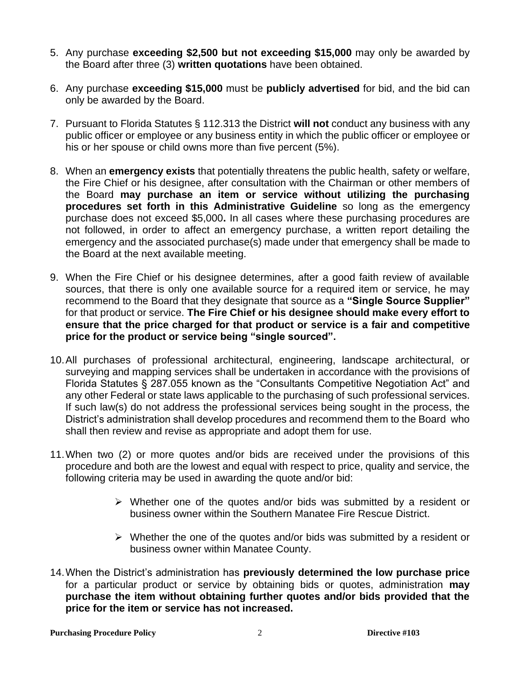- 5. Any purchase **exceeding \$2,500 but not exceeding \$15,000** may only be awarded by the Board after three (3) **written quotations** have been obtained.
- 6. Any purchase **exceeding \$15,000** must be **publicly advertised** for bid, and the bid can only be awarded by the Board.
- 7. Pursuant to Florida Statutes § 112.313 the District **will not** conduct any business with any public officer or employee or any business entity in which the public officer or employee or his or her spouse or child owns more than five percent (5%).
- 8. When an **emergency exists** that potentially threatens the public health, safety or welfare, the Fire Chief or his designee, after consultation with the Chairman or other members of the Board **may purchase an item or service without utilizing the purchasing procedures set forth in this Administrative Guideline** so long as the emergency purchase does not exceed \$5,000**.** In all cases where these purchasing procedures are not followed, in order to affect an emergency purchase, a written report detailing the emergency and the associated purchase(s) made under that emergency shall be made to the Board at the next available meeting.
- 9. When the Fire Chief or his designee determines, after a good faith review of available sources, that there is only one available source for a required item or service, he may recommend to the Board that they designate that source as a **"Single Source Supplier"**  for that product or service. **The Fire Chief or his designee should make every effort to ensure that the price charged for that product or service is a fair and competitive price for the product or service being "single sourced".**
- 10.All purchases of professional architectural, engineering, landscape architectural, or surveying and mapping services shall be undertaken in accordance with the provisions of Florida Statutes § 287.055 known as the "Consultants Competitive Negotiation Act" and any other Federal or state laws applicable to the purchasing of such professional services. If such law(s) do not address the professional services being sought in the process, the District's administration shall develop procedures and recommend them to the Board who shall then review and revise as appropriate and adopt them for use.
- 11.When two (2) or more quotes and/or bids are received under the provisions of this procedure and both are the lowest and equal with respect to price, quality and service, the following criteria may be used in awarding the quote and/or bid:
	- ➢ Whether one of the quotes and/or bids was submitted by a resident or business owner within the Southern Manatee Fire Rescue District.
	- ➢ Whether the one of the quotes and/or bids was submitted by a resident or business owner within Manatee County.
- 14.When the District's administration has **previously determined the low purchase price**  for a particular product or service by obtaining bids or quotes, administration **may purchase the item without obtaining further quotes and/or bids provided that the price for the item or service has not increased.**